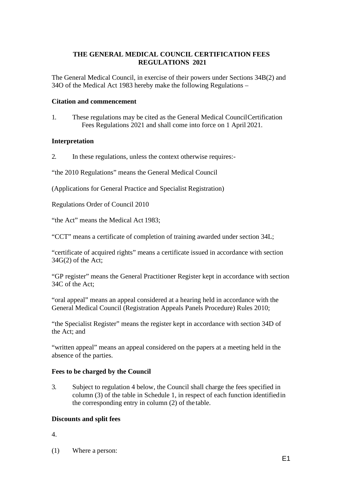#### **THE GENERAL MEDICAL COUNCIL CERTIFICATION FEES REGULATIONS 2021**

The General Medical Council, in exercise of their powers under Sections 34B(2) and 34O of the Medical Act 1983 hereby make the following Regulations –

#### **Citation and commencement**

1. These regulations may be cited as the General Medical CouncilCertification Fees Regulations 2021 and shall come into force on 1 April 2021.

#### **Interpretation**

2. In these regulations, unless the context otherwise requires:-

"the 2010 Regulations" means the General Medical Council

(Applications for General Practice and Specialist Registration)

Regulations Order of Council 2010

"the Act" means the Medical Act 1983;

"CCT" means a certificate of completion of training awarded under section 34L;

"certificate of acquired rights" means a certificate issued in accordance with section  $34G(2)$  of the Act;

"GP register" means the General Practitioner Register kept in accordance with section 34C of the Act;

"oral appeal" means an appeal considered at a hearing held in accordance with the General Medical Council (Registration Appeals Panels Procedure) Rules 2010;

"the Specialist Register" means the register kept in accordance with section 34D of the Act; and

"written appeal" means an appeal considered on the papers at a meeting held in the absence of the parties.

## **Fees to be charged by the Council**

3. Subject to regulation 4 below, the Council shall charge the fees specified in column (3) of the table in Schedule 1, in respect of each function identifiedin the corresponding entry in column (2) of the table.

## **Discounts and split fees**

4.

(1) Where a person: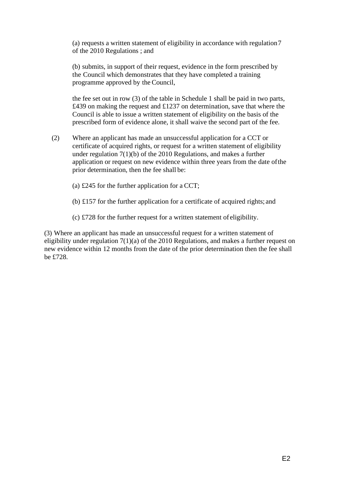(a) requests a written statement of eligibility in accordance with regulation7 of the 2010 Regulations ; and

(b) submits, in support of their request, evidence in the form prescribed by the Council which demonstrates that they have completed a training programme approved by theCouncil,

the fee set out in row (3) of the table in Schedule 1 shall be paid in two parts, £439 on making the request and £1237 on determination, save that where the Council is able to issue a written statement of eligibility on the basis of the prescribed form of evidence alone, it shall waive the second part of the fee.

- (2) Where an applicant has made an unsuccessful application for a CCT or certificate of acquired rights, or request for a written statement of eligibility under regulation 7(1)(b) of the 2010 Regulations, and makes a further application or request on new evidence within three years from the date ofthe prior determination, then the fee shall be:
	- (a) £245 for the further application for a CCT;
	- (b) £157 for the further application for a certificate of acquired rights; and
	- (c) £728 for the further request for a written statement of eligibility.

(3) Where an applicant has made an unsuccessful request for a written statement of eligibility under regulation 7(1)(a) of the 2010 Regulations, and makes a further request on new evidence within 12 months from the date of the prior determination then the fee shall be £728.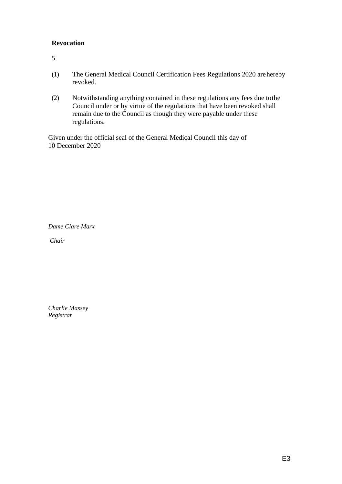## **Revocation**

5.

- (1) The General Medical Council Certification Fees Regulations 2020 arehereby revoked.
- (2) Notwithstanding anything contained in these regulations any fees due tothe Council under or by virtue of the regulations that have been revoked shall remain due to the Council as though they were payable under these regulations.

Given under the official seal of the General Medical Council this day of 10 December 2020

*Dame Clare Marx* 

*Chair*

*Charlie Massey Registrar*